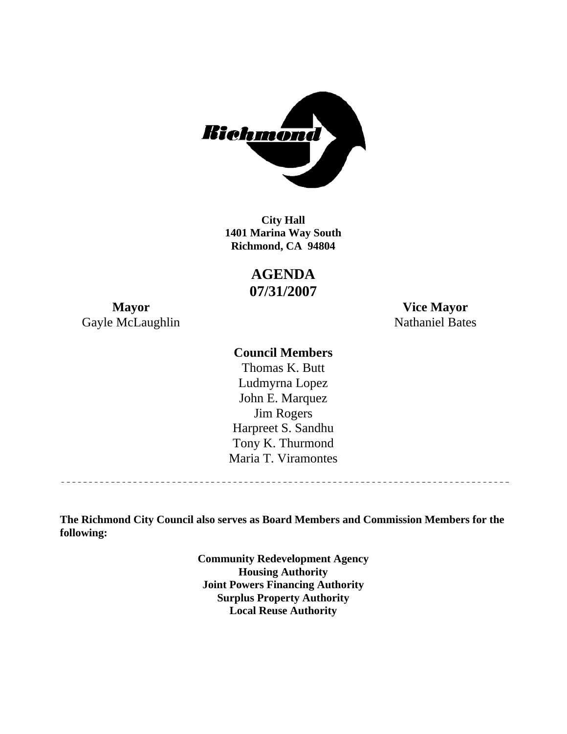

**1401 Marina Way South Richmond, CA 94804 City Hall** 

> **AGENDA 07/31/2007**

Gayle McLaughlin Nathaniel Bates

**Mayor Vice Mayor** 

### **Council Members**

Harpreet S. Sandhu Tony K. Thurmond Maria T. Viramontes Thomas K. Butt Ludmyrna Lopez John E. Marquez Jim Rogers

**The Richmond City Council also serves as Board Members and Commission Members for the following:** 

> **Community Redevelopment Agency Housing Authority Joint Powers Financing Authority Surplus Property Authority Local Reuse Authority**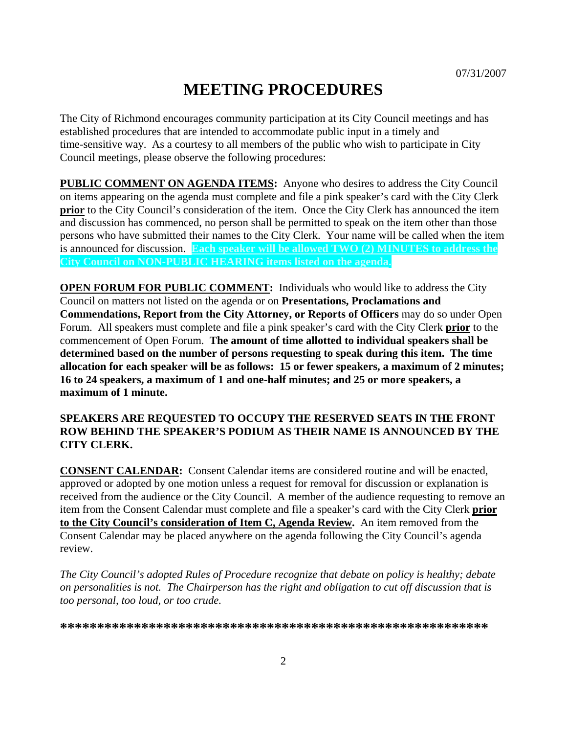# **MEETING PROCEDURES**

The City of Richmond encourages community participation at its City Council meetings and has established procedures that are intended to accommodate public input in a timely and time-sensitive way. As a courtesy to all members of the public who wish to participate in City Council meetings, please observe the following procedures:

**PUBLIC COMMENT ON AGENDA ITEMS:** Anyone who desires to address the City Council on items appearing on the agenda must complete and file a pink speaker's card with the City Clerk **prior** to the City Council's consideration of the item. Once the City Clerk has announced the item and discussion has commenced, no person shall be permitted to speak on the item other than those persons who have submitted their names to the City Clerk. Your name will be called when the item is announced for discussion. **Each speaker will be allowed TWO (2) MINUTES to address the City Council on NON-PUBLIC HEARING items listed on the agenda.** 

**OPEN FORUM FOR PUBLIC COMMENT:** Individuals who would like to address the City Council on matters not listed on the agenda or on **Presentations, Proclamations and Commendations, Report from the City Attorney, or Reports of Officers** may do so under Open Forum. All speakers must complete and file a pink speaker's card with the City Clerk **prior** to the commencement of Open Forum. **The amount of time allotted to individual speakers shall be determined based on the number of persons requesting to speak during this item. The time allocation for each speaker will be as follows: 15 or fewer speakers, a maximum of 2 minutes; 16 to 24 speakers, a maximum of 1 and one-half minutes; and 25 or more speakers, a maximum of 1 minute.** 

#### **SPEAKERS ARE REQUESTED TO OCCUPY THE RESERVED SEATS IN THE FRONT ROW BEHIND THE SPEAKER'S PODIUM AS THEIR NAME IS ANNOUNCED BY THE CITY CLERK.**

**CONSENT CALENDAR:** Consent Calendar items are considered routine and will be enacted, approved or adopted by one motion unless a request for removal for discussion or explanation is received from the audience or the City Council. A member of the audience requesting to remove an item from the Consent Calendar must complete and file a speaker's card with the City Clerk **prior to the City Council's consideration of Item C, Agenda Review.** An item removed from the Consent Calendar may be placed anywhere on the agenda following the City Council's agenda review.

*The City Council's adopted Rules of Procedure recognize that debate on policy is healthy; debate on personalities is not. The Chairperson has the right and obligation to cut off discussion that is too personal, too loud, or too crude.* 

**\*\*\*\*\*\*\*\*\*\*\*\*\*\*\*\*\*\*\*\*\*\*\*\*\*\*\*\*\*\*\*\*\*\*\*\*\*\*\*\*\*\*\*\*\*\*\*\*\*\*\*\*\*\*\*\*\*\***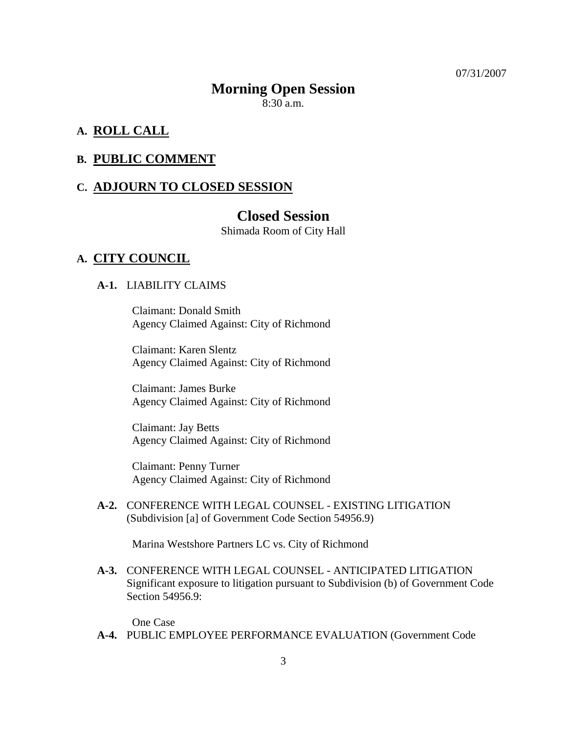07/31/2007

#### **Morning Open Session**

8:30 a.m.

#### **A. ROLL CALL**

#### **B. PUBLIC COMMENT**

#### **C. ADJOURN TO CLOSED SESSION**

#### **Closed Session**

Shimada Room of City Hall

#### **A. CITY COUNCIL**

#### **A-1.** LIABILITY CLAIMS

Claimant: Donald Smith Agency Claimed Against: City of Richmond

Claimant: Karen Slentz Agency Claimed Against: City of Richmond

Claimant: James Burke Agency Claimed Against: City of Richmond

Claimant: Jay Betts Agency Claimed Against: City of Richmond

Claimant: Penny Turner Agency Claimed Against: City of Richmond

 **A-2.** CONFERENCE WITH LEGAL COUNSEL - EXISTING LITIGATION (Subdivision [a] of Government Code Section 54956.9)

Marina Westshore Partners LC vs. City of Richmond

 **A-3.** CONFERENCE WITH LEGAL COUNSEL - ANTICIPATED LITIGATION Significant exposure to litigation pursuant to Subdivision (b) of Government Code Section 54956.9:

One Case

 **A-4.** PUBLIC EMPLOYEE PERFORMANCE EVALUATION (Government Code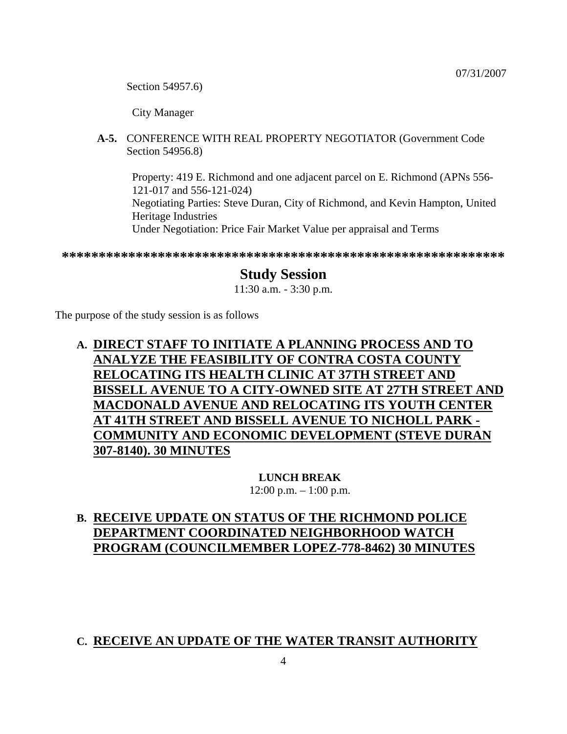Section 54957.6)

City Manager

 **A-5.** CONFERENCE WITH REAL PROPERTY NEGOTIATOR (Government Code Section 54956.8)

Property: 419 E. Richmond and one adjacent parcel on E. Richmond (APNs 556- 121-017 and 556-121-024) Negotiating Parties: Steve Duran, City of Richmond, and Kevin Hampton, United Heritage Industries Under Negotiation: Price Fair Market Value per appraisal and Terms

**\*\*\*\*\*\*\*\*\*\*\*\*\*\*\*\*\*\*\*\*\*\*\*\*\*\*\*\*\*\*\*\*\*\*\*\*\*\*\*\*\*\*\*\*\*\*\*\*\*\*\*\*\*\*\*\*\*\*\*\*** 

# **Study Session**

11:30 a.m. - 3:30 p.m.

The purpose of the study session is as follows

# **A. DIRECT STAFF TO INITIATE A PLANNING PROCESS AND TO ANALYZE THE FEASIBILITY OF CONTRA COSTA COUNTY RELOCATING ITS HEALTH CLINIC AT 37TH STREET AND BISSELL AVENUE TO A CITY-OWNED SITE AT 27TH STREET AND MACDONALD AVENUE AND RELOCATING ITS YOUTH CENTER AT 41TH STREET AND BISSELL AVENUE TO NICHOLL PARK - COMMUNITY AND ECONOMIC DEVELOPMENT (STEVE DURAN 307-8140). 30 MINUTES**

**LUNCH BREAK**   $12:00$  p.m.  $-1:00$  p.m.

# **B. RECEIVE UPDATE ON STATUS OF THE RICHMOND POLICE DEPARTMENT COORDINATED NEIGHBORHOOD WATCH PROGRAM (COUNCILMEMBER LOPEZ-778-8462) 30 MINUTES**

### **C. RECEIVE AN UPDATE OF THE WATER TRANSIT AUTHORITY**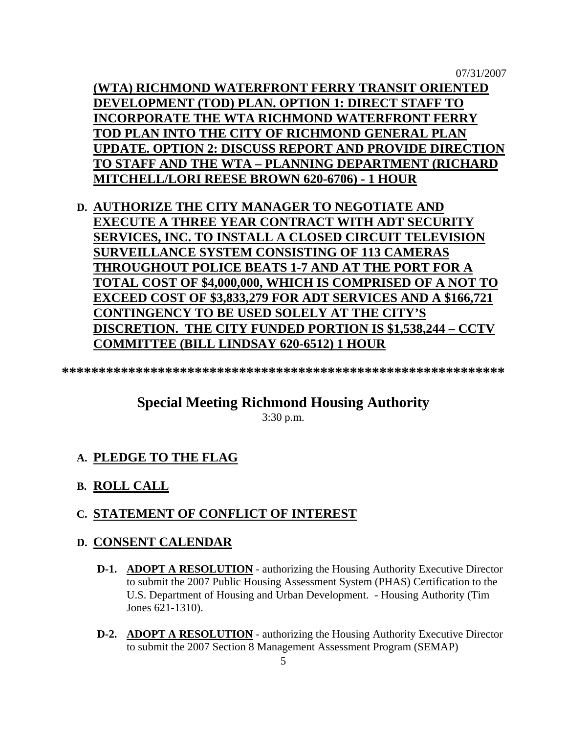07/31/2007

**(WTA) RICHMOND WATERFRONT FERRY TRANSIT ORIENTED DEVELOPMENT (TOD) PLAN. OPTION 1: DIRECT STAFF TO INCORPORATE THE WTA RICHMOND WATERFRONT FERRY TOD PLAN INTO THE CITY OF RICHMOND GENERAL PLAN UPDATE. OPTION 2: DISCUSS REPORT AND PROVIDE DIRECTION TO STAFF AND THE WTA – PLANNING DEPARTMENT (RICHARD MITCHELL/LORI REESE BROWN 620-6706) - 1 HOUR**

**D. AUTHORIZE THE CITY MANAGER TO NEGOTIATE AND EXECUTE A THREE YEAR CONTRACT WITH ADT SECURITY SERVICES, INC. TO INSTALL A CLOSED CIRCUIT TELEVISION SURVEILLANCE SYSTEM CONSISTING OF 113 CAMERAS THROUGHOUT POLICE BEATS 1-7 AND AT THE PORT FOR A TOTAL COST OF \$4,000,000, WHICH IS COMPRISED OF A NOT TO EXCEED COST OF \$3,833,279 FOR ADT SERVICES AND A \$166,721 CONTINGENCY TO BE USED SOLELY AT THE CITY'S DISCRETION. THE CITY FUNDED PORTION IS \$1,538,244 – CCTV COMMITTEE (BILL LINDSAY 620-6512) 1 HOUR**

**\*\*\*\*\*\*\*\*\*\*\*\*\*\*\*\*\*\*\*\*\*\*\*\*\*\*\*\*\*\*\*\*\*\*\*\*\*\*\*\*\*\*\*\*\*\*\*\*\*\*\*\*\*\*\*\*\*\*\*\*** 

# **Special Meeting Richmond Housing Authority**

3:30 p.m.

### **A. PLEDGE TO THE FLAG**

**B. ROLL CALL**

### **C. STATEMENT OF CONFLICT OF INTEREST**

### **D. CONSENT CALENDAR**

- **D-1. ADOPT A RESOLUTION** authorizing the Housing Authority Executive Director to submit the 2007 Public Housing Assessment System (PHAS) Certification to the U.S. Department of Housing and Urban Development. - Housing Authority (Tim Jones 621-1310).
- **D-2. ADOPT A RESOLUTION** authorizing the Housing Authority Executive Director to submit the 2007 Section 8 Management Assessment Program (SEMAP)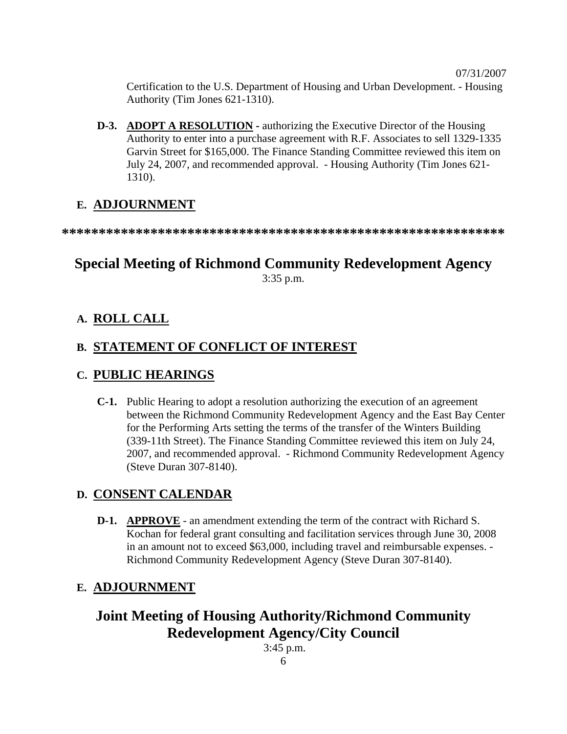Certification to the U.S. Department of Housing and Urban Development. - Housing Authority (Tim Jones 621-1310).

 **D-3. ADOPT A RESOLUTION -** authorizing the Executive Director of the Housing Authority to enter into a purchase agreement with R.F. Associates to sell 1329-1335 Garvin Street for \$165,000. The Finance Standing Committee reviewed this item on July 24, 2007, and recommended approval. - Housing Authority (Tim Jones 621- 1310).

## **E. ADJOURNMENT**

**\*\*\*\*\*\*\*\*\*\*\*\*\*\*\*\*\*\*\*\*\*\*\*\*\*\*\*\*\*\*\*\*\*\*\*\*\*\*\*\*\*\*\*\*\*\*\*\*\*\*\*\*\*\*\*\*\*\*\*\*** 

# **Special Meeting of Richmond Community Redevelopment Agency**  3:35 p.m.

### **A. ROLL CALL**

## **B. STATEMENT OF CONFLICT OF INTEREST**

### **C. PUBLIC HEARINGS**

 **C-1.** Public Hearing to adopt a resolution authorizing the execution of an agreement between the Richmond Community Redevelopment Agency and the East Bay Center for the Performing Arts setting the terms of the transfer of the Winters Building (339-11th Street). The Finance Standing Committee reviewed this item on July 24, 2007, and recommended approval. - Richmond Community Redevelopment Agency (Steve Duran 307-8140).

# **D. CONSENT CALENDAR**

 **D-1. APPROVE** - an amendment extending the term of the contract with Richard S. Kochan for federal grant consulting and facilitation services through June 30, 2008 in an amount not to exceed \$63,000, including travel and reimbursable expenses. - Richmond Community Redevelopment Agency (Steve Duran 307-8140).

# **E. ADJOURNMENT**

# **Joint Meeting of Housing Authority/Richmond Community Redevelopment Agency/City Council**

3:45 p.m.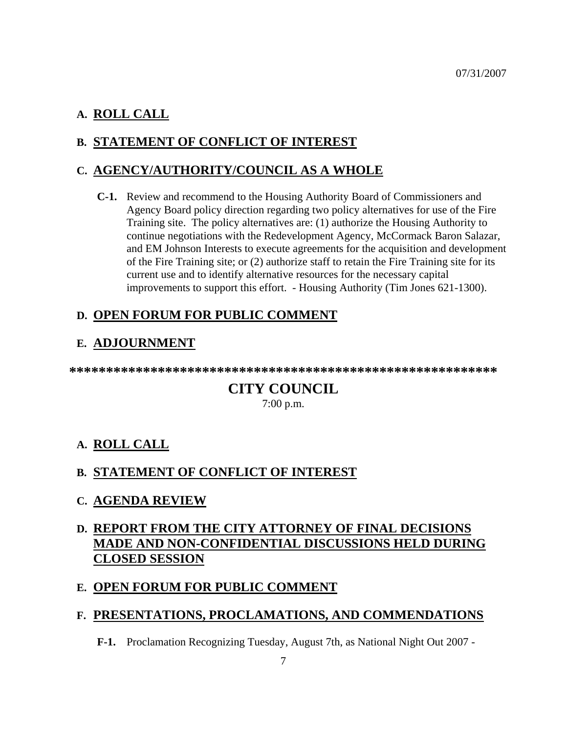### **A. ROLL CALL**

### **B. STATEMENT OF CONFLICT OF INTEREST**

### **C. AGENCY/AUTHORITY/COUNCIL AS A WHOLE**

 **C-1.** Review and recommend to the Housing Authority Board of Commissioners and Agency Board policy direction regarding two policy alternatives for use of the Fire Training site. The policy alternatives are: (1) authorize the Housing Authority to continue negotiations with the Redevelopment Agency, McCormack Baron Salazar, and EM Johnson Interests to execute agreements for the acquisition and development of the Fire Training site; or (2) authorize staff to retain the Fire Training site for its current use and to identify alternative resources for the necessary capital improvements to support this effort. - Housing Authority (Tim Jones 621-1300).

### **D. OPEN FORUM FOR PUBLIC COMMENT**

### **E. ADJOURNMENT**

**\*\*\*\*\*\*\*\*\*\*\*\*\*\*\*\*\*\*\*\*\*\*\*\*\*\*\*\*\*\*\*\*\*\*\*\*\*\*\*\*\*\*\*\*\*\*\*\*\*\*\*\*\*\*\*\*\*\*** 

# **CITY COUNCIL**

7:00 p.m.

### **A. ROLL CALL**

### **B. STATEMENT OF CONFLICT OF INTEREST**

**C. AGENDA REVIEW**

# **D. REPORT FROM THE CITY ATTORNEY OF FINAL DECISIONS MADE AND NON-CONFIDENTIAL DISCUSSIONS HELD DURING CLOSED SESSION**

### **E. OPEN FORUM FOR PUBLIC COMMENT**

### **F. PRESENTATIONS, PROCLAMATIONS, AND COMMENDATIONS**

 **F-1.** Proclamation Recognizing Tuesday, August 7th, as National Night Out 2007 -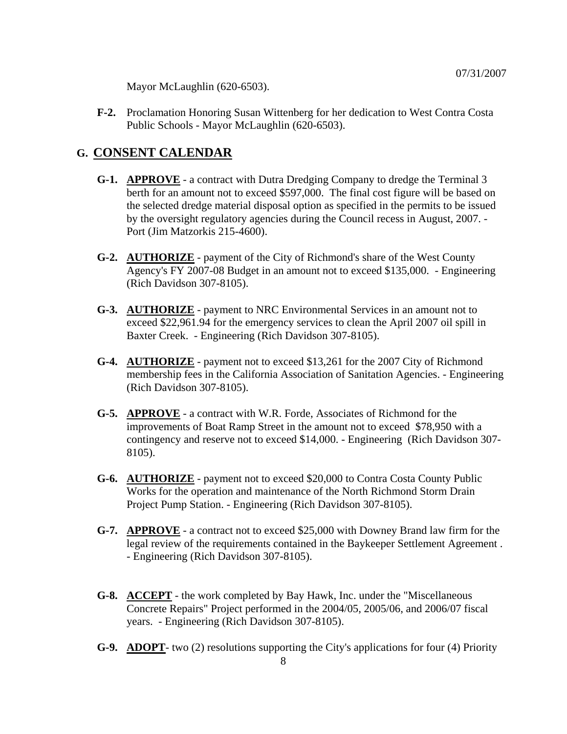Mayor McLaughlin (620-6503).

 **F-2.** Proclamation Honoring Susan Wittenberg for her dedication to West Contra Costa Public Schools - Mayor McLaughlin (620-6503).

#### **G. CONSENT CALENDAR**

- **G-1. APPROVE** a contract with Dutra Dredging Company to dredge the Terminal 3 berth for an amount not to exceed \$597,000. The final cost figure will be based on the selected dredge material disposal option as specified in the permits to be issued by the oversight regulatory agencies during the Council recess in August, 2007. - Port (Jim Matzorkis 215-4600).
- **G-2. AUTHORIZE** payment of the City of Richmond's share of the West County Agency's FY 2007-08 Budget in an amount not to exceed \$135,000. - Engineering (Rich Davidson 307-8105).
- **G-3. AUTHORIZE** payment to NRC Environmental Services in an amount not to exceed \$22,961.94 for the emergency services to clean the April 2007 oil spill in Baxter Creek. - Engineering (Rich Davidson 307-8105).
- **G-4. AUTHORIZE** payment not to exceed \$13,261 for the 2007 City of Richmond membership fees in the California Association of Sanitation Agencies. - Engineering (Rich Davidson 307-8105).
- **G-5. APPROVE** a contract with W.R. Forde, Associates of Richmond for the improvements of Boat Ramp Street in the amount not to exceed \$78,950 with a contingency and reserve not to exceed \$14,000. - Engineering (Rich Davidson 307- 8105).
- **G-6. AUTHORIZE** payment not to exceed \$20,000 to Contra Costa County Public Works for the operation and maintenance of the North Richmond Storm Drain Project Pump Station. - Engineering (Rich Davidson 307-8105).
- **G-7. APPROVE** a contract not to exceed \$25,000 with Downey Brand law firm for the legal review of the requirements contained in the Baykeeper Settlement Agreement . - Engineering (Rich Davidson 307-8105).
- **G-8. ACCEPT** the work completed by Bay Hawk, Inc. under the "Miscellaneous Concrete Repairs" Project performed in the 2004/05, 2005/06, and 2006/07 fiscal years. - Engineering (Rich Davidson 307-8105).
- **G-9. ADOPT** two (2) resolutions supporting the City's applications for four (4) Priority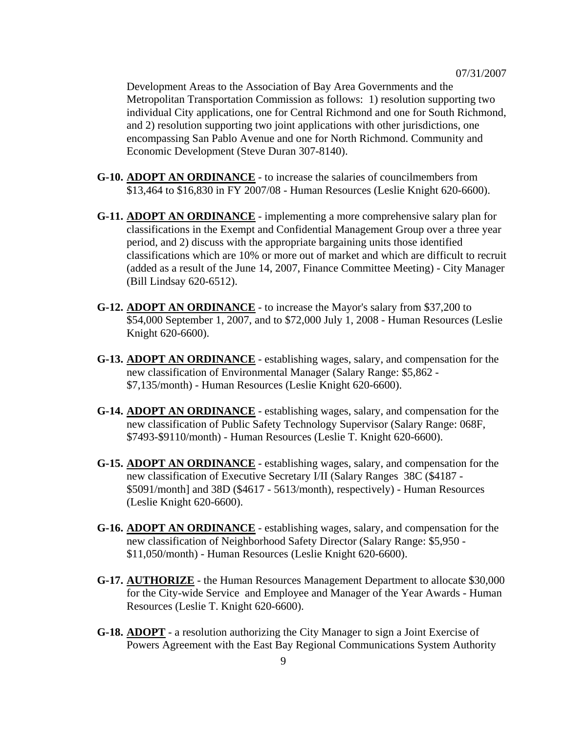Development Areas to the Association of Bay Area Governments and the Metropolitan Transportation Commission as follows: 1) resolution supporting two individual City applications, one for Central Richmond and one for South Richmond, and 2) resolution supporting two joint applications with other jurisdictions, one encompassing San Pablo Avenue and one for North Richmond. Community and Economic Development (Steve Duran 307-8140).

- **G-10. ADOPT AN ORDINANCE** to increase the salaries of councilmembers from \$13,464 to \$16,830 in FY 2007/08 - Human Resources (Leslie Knight 620-6600).
- **G-11. ADOPT AN ORDINANCE** implementing a more comprehensive salary plan for classifications in the Exempt and Confidential Management Group over a three year period, and 2) discuss with the appropriate bargaining units those identified classifications which are 10% or more out of market and which are difficult to recruit (added as a result of the June 14, 2007, Finance Committee Meeting) - City Manager (Bill Lindsay 620-6512).
- **G-12. ADOPT AN ORDINANCE** to increase the Mayor's salary from \$37,200 to \$54,000 September 1, 2007, and to \$72,000 July 1, 2008 - Human Resources (Leslie Knight 620-6600).
- **G-13. ADOPT AN ORDINANCE** establishing wages, salary, and compensation for the new classification of Environmental Manager (Salary Range: \$5,862 - \$7,135/month) - Human Resources (Leslie Knight 620-6600).
- **G-14. ADOPT AN ORDINANCE** establishing wages, salary, and compensation for the new classification of Public Safety Technology Supervisor (Salary Range: 068F, \$7493-\$9110/month) - Human Resources (Leslie T. Knight 620-6600).
- **G-15. ADOPT AN ORDINANCE** establishing wages, salary, and compensation for the new classification of Executive Secretary I/II (Salary Ranges 38C (\$4187 - \$5091/month] and 38D (\$4617 - 5613/month), respectively) - Human Resources (Leslie Knight 620-6600).
- **G-16. ADOPT AN ORDINANCE** establishing wages, salary, and compensation for the new classification of Neighborhood Safety Director (Salary Range: \$5,950 - \$11,050/month) - Human Resources (Leslie Knight 620-6600).
- **G-17. AUTHORIZE** the Human Resources Management Department to allocate \$30,000 for the City-wide Service and Employee and Manager of the Year Awards - Human Resources (Leslie T. Knight 620-6600).
- **G-18. ADOPT** a resolution authorizing the City Manager to sign a Joint Exercise of Powers Agreement with the East Bay Regional Communications System Authority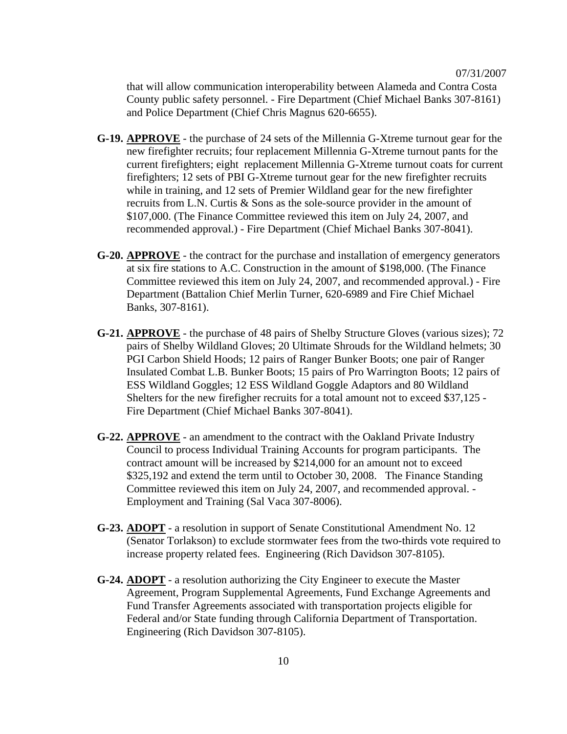that will allow communication interoperability between Alameda and Contra Costa County public safety personnel. - Fire Department (Chief Michael Banks 307-8161) and Police Department (Chief Chris Magnus 620-6655).

- **G-19. APPROVE** the purchase of 24 sets of the Millennia G-Xtreme turnout gear for the new firefighter recruits; four replacement Millennia G-Xtreme turnout pants for the current firefighters; eight replacement Millennia G-Xtreme turnout coats for current firefighters; 12 sets of PBI G-Xtreme turnout gear for the new firefighter recruits while in training, and 12 sets of Premier Wildland gear for the new firefighter recruits from L.N. Curtis & Sons as the sole-source provider in the amount of \$107,000. (The Finance Committee reviewed this item on July 24, 2007, and recommended approval.) - Fire Department (Chief Michael Banks 307-8041).
- **G-20. APPROVE** the contract for the purchase and installation of emergency generators at six fire stations to A.C. Construction in the amount of \$198,000. (The Finance Committee reviewed this item on July 24, 2007, and recommended approval.) - Fire Department (Battalion Chief Merlin Turner, 620-6989 and Fire Chief Michael Banks, 307-8161).
- **G-21. APPROVE** the purchase of 48 pairs of Shelby Structure Gloves (various sizes); 72 pairs of Shelby Wildland Gloves; 20 Ultimate Shrouds for the Wildland helmets; 30 PGI Carbon Shield Hoods; 12 pairs of Ranger Bunker Boots; one pair of Ranger Insulated Combat L.B. Bunker Boots; 15 pairs of Pro Warrington Boots; 12 pairs of ESS Wildland Goggles; 12 ESS Wildland Goggle Adaptors and 80 Wildland Shelters for the new firefigher recruits for a total amount not to exceed \$37,125 - Fire Department (Chief Michael Banks 307-8041).
- **G-22. APPROVE** an amendment to the contract with the Oakland Private Industry Council to process Individual Training Accounts for program participants. The contract amount will be increased by \$214,000 for an amount not to exceed \$325,192 and extend the term until to October 30, 2008. The Finance Standing Committee reviewed this item on July 24, 2007, and recommended approval. - Employment and Training (Sal Vaca 307-8006).
- **G-23. ADOPT** a resolution in support of Senate Constitutional Amendment No. 12 (Senator Torlakson) to exclude stormwater fees from the two-thirds vote required to increase property related fees. Engineering (Rich Davidson 307-8105).
- **G-24. ADOPT** a resolution authorizing the City Engineer to execute the Master Agreement, Program Supplemental Agreements, Fund Exchange Agreements and Fund Transfer Agreements associated with transportation projects eligible for Federal and/or State funding through California Department of Transportation. Engineering (Rich Davidson 307-8105).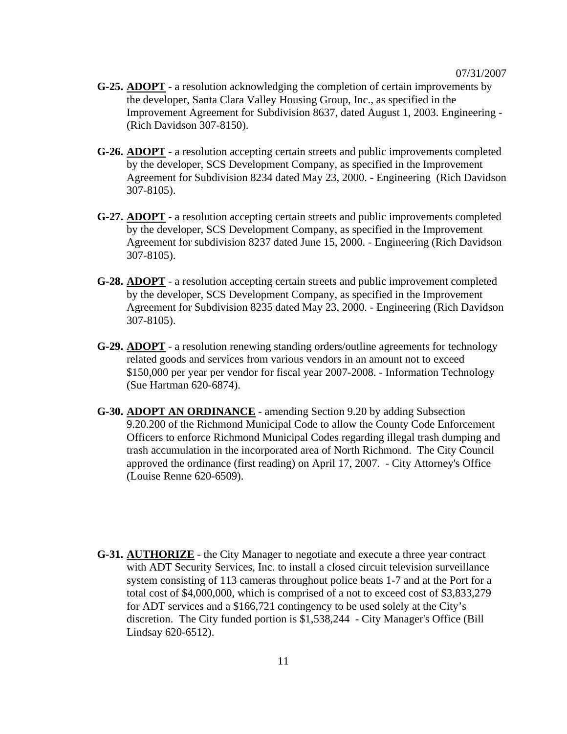- **G-25. ADOPT** a resolution acknowledging the completion of certain improvements by the developer, Santa Clara Valley Housing Group, Inc., as specified in the Improvement Agreement for Subdivision 8637, dated August 1, 2003. Engineering - (Rich Davidson 307-8150).
- **G-26. ADOPT** a resolution accepting certain streets and public improvements completed by the developer, SCS Development Company, as specified in the Improvement Agreement for Subdivision 8234 dated May 23, 2000. - Engineering (Rich Davidson 307-8105).
- **G-27. ADOPT** a resolution accepting certain streets and public improvements completed by the developer, SCS Development Company, as specified in the Improvement Agreement for subdivision 8237 dated June 15, 2000. - Engineering (Rich Davidson 307-8105).
- **G-28. ADOPT** a resolution accepting certain streets and public improvement completed by the developer, SCS Development Company, as specified in the Improvement Agreement for Subdivision 8235 dated May 23, 2000. - Engineering (Rich Davidson 307-8105).
- **G-29. ADOPT** a resolution renewing standing orders/outline agreements for technology related goods and services from various vendors in an amount not to exceed \$150,000 per year per vendor for fiscal year 2007-2008. - Information Technology (Sue Hartman 620-6874).
- **G-30. ADOPT AN ORDINANCE** amending Section 9.20 by adding Subsection 9.20.200 of the Richmond Municipal Code to allow the County Code Enforcement Officers to enforce Richmond Municipal Codes regarding illegal trash dumping and trash accumulation in the incorporated area of North Richmond. The City Council approved the ordinance (first reading) on April 17, 2007. - City Attorney's Office (Louise Renne 620-6509).
- **G-31. AUTHORIZE** the City Manager to negotiate and execute a three year contract with ADT Security Services, Inc. to install a closed circuit television surveillance system consisting of 113 cameras throughout police beats 1-7 and at the Port for a total cost of \$4,000,000, which is comprised of a not to exceed cost of \$3,833,279 for ADT services and a \$166,721 contingency to be used solely at the City's discretion. The City funded portion is \$1,538,244 - City Manager's Office (Bill Lindsay 620-6512).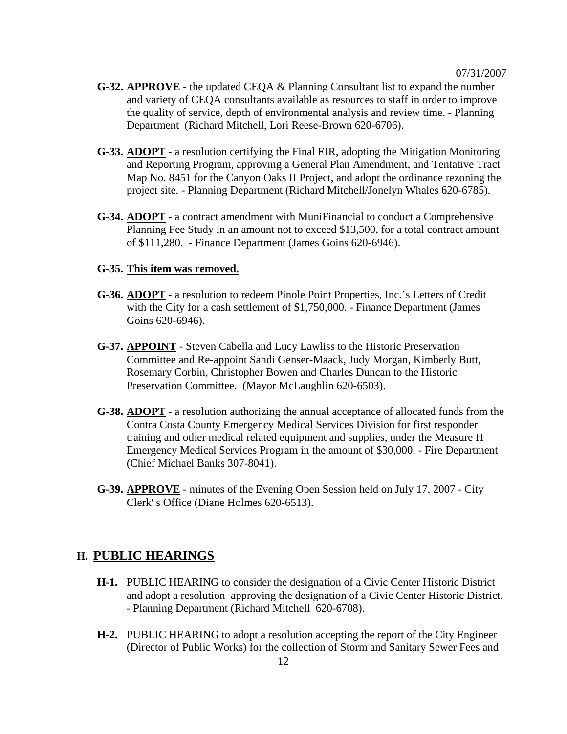- **G-32. APPROVE** the updated CEQA & Planning Consultant list to expand the number and variety of CEQA consultants available as resources to staff in order to improve the quality of service, depth of environmental analysis and review time. - Planning Department (Richard Mitchell, Lori Reese-Brown 620-6706).
- **G-33. ADOPT** a resolution certifying the Final EIR, adopting the Mitigation Monitoring and Reporting Program, approving a General Plan Amendment, and Tentative Tract Map No. 8451 for the Canyon Oaks II Project, and adopt the ordinance rezoning the project site. - Planning Department (Richard Mitchell/Jonelyn Whales 620-6785).
- **G-34. ADOPT** a contract amendment with MuniFinancial to conduct a Comprehensive Planning Fee Study in an amount not to exceed \$13,500, for a total contract amount of \$111,280. - Finance Department (James Goins 620-6946).

#### **G-35. This item was removed.**

- **G-36. ADOPT** a resolution to redeem Pinole Point Properties, Inc.'s Letters of Credit with the City for a cash settlement of \$1,750,000. - Finance Department (James Goins 620-6946).
- **G-37. APPOINT** Steven Cabella and Lucy Lawliss to the Historic Preservation Committee and Re-appoint Sandi Genser-Maack, Judy Morgan, Kimberly Butt, Rosemary Corbin, Christopher Bowen and Charles Duncan to the Historic Preservation Committee. (Mayor McLaughlin 620-6503).
- **G-38. ADOPT** a resolution authorizing the annual acceptance of allocated funds from the Contra Costa County Emergency Medical Services Division for first responder training and other medical related equipment and supplies, under the Measure H Emergency Medical Services Program in the amount of \$30,000. - Fire Department (Chief Michael Banks 307-8041).
- **G-39. APPROVE** minutes of the Evening Open Session held on July 17, 2007 City Clerk' s Office (Diane Holmes 620-6513).

#### **H. PUBLIC HEARINGS**

- **H-1.** PUBLIC HEARING to consider the designation of a Civic Center Historic District and adopt a resolution approving the designation of a Civic Center Historic District. - Planning Department (Richard Mitchell 620-6708).
- **H-2.** PUBLIC HEARING to adopt a resolution accepting the report of the City Engineer (Director of Public Works) for the collection of Storm and Sanitary Sewer Fees and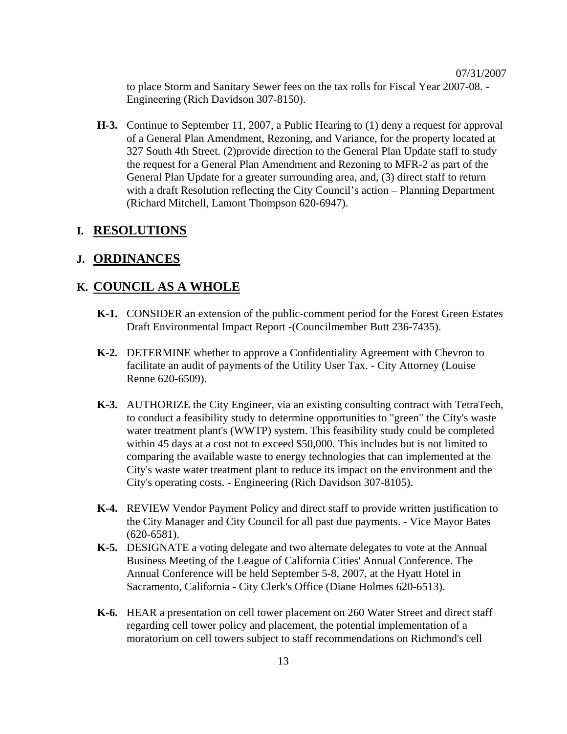to place Storm and Sanitary Sewer fees on the tax rolls for Fiscal Year 2007-08. - Engineering (Rich Davidson 307-8150).

 **H-3.** Continue to September 11, 2007, a Public Hearing to (1) deny a request for approval of a General Plan Amendment, Rezoning, and Variance, for the property located at 327 South 4th Street. (2)provide direction to the General Plan Update staff to study the request for a General Plan Amendment and Rezoning to MFR-2 as part of the General Plan Update for a greater surrounding area, and, (3) direct staff to return with a draft Resolution reflecting the City Council's action – Planning Department (Richard Mitchell, Lamont Thompson 620-6947).

#### **I. RESOLUTIONS**

#### **J. ORDINANCES**

#### **K. COUNCIL AS A WHOLE**

- **K-1.** CONSIDER an extension of the public-comment period for the Forest Green Estates Draft Environmental Impact Report -(Councilmember Butt 236-7435).
- **K-2.** DETERMINE whether to approve a Confidentiality Agreement with Chevron to facilitate an audit of payments of the Utility User Tax. - City Attorney (Louise Renne 620-6509).
- **K-3.** AUTHORIZE the City Engineer, via an existing consulting contract with TetraTech, to conduct a feasibility study to determine opportunities to "green" the City's waste water treatment plant's (WWTP) system. This feasibility study could be completed within 45 days at a cost not to exceed \$50,000. This includes but is not limited to comparing the available waste to energy technologies that can implemented at the City's waste water treatment plant to reduce its impact on the environment and the City's operating costs. - Engineering (Rich Davidson 307-8105).
- **K-4.** REVIEW Vendor Payment Policy and direct staff to provide written justification to the City Manager and City Council for all past due payments. - Vice Mayor Bates (620-6581).
- **K-5.** DESIGNATE a voting delegate and two alternate delegates to vote at the Annual Business Meeting of the League of California Cities' Annual Conference. The Annual Conference will be held September 5-8, 2007, at the Hyatt Hotel in Sacramento, California - City Clerk's Office (Diane Holmes 620-6513).
- **K-6.** HEAR a presentation on cell tower placement on 260 Water Street and direct staff regarding cell tower policy and placement, the potential implementation of a moratorium on cell towers subject to staff recommendations on Richmond's cell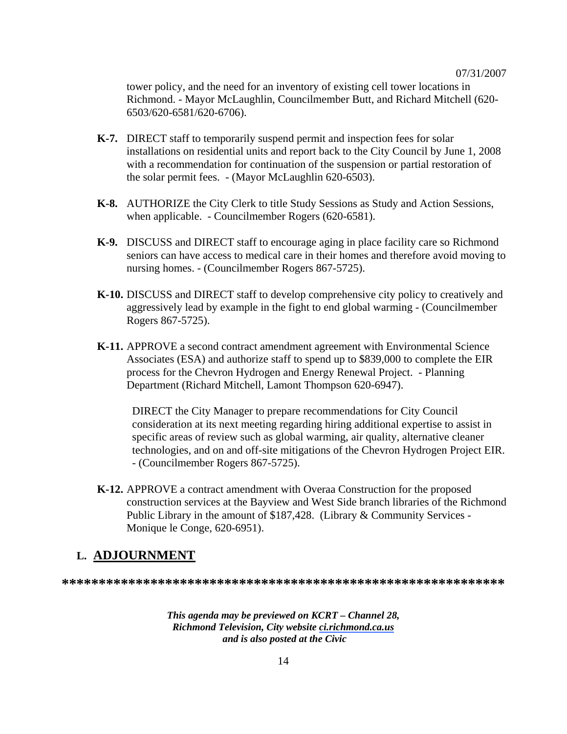tower policy, and the need for an inventory of existing cell tower locations in Richmond. - Mayor McLaughlin, Councilmember Butt, and Richard Mitchell (620- 6503/620-6581/620-6706).

- **K-7.** DIRECT staff to temporarily suspend permit and inspection fees for solar installations on residential units and report back to the City Council by June 1, 2008 with a recommendation for continuation of the suspension or partial restoration of the solar permit fees. - (Mayor McLaughlin 620-6503).
- **K-8.** AUTHORIZE the City Clerk to title Study Sessions as Study and Action Sessions, when applicable. - Councilmember Rogers (620-6581).
- **K-9.** DISCUSS and DIRECT staff to encourage aging in place facility care so Richmond seniors can have access to medical care in their homes and therefore avoid moving to nursing homes. - (Councilmember Rogers 867-5725).
- **K-10.** DISCUSS and DIRECT staff to develop comprehensive city policy to creatively and aggressively lead by example in the fight to end global warming - (Councilmember Rogers 867-5725).
- **K-11.** APPROVE a second contract amendment agreement with Environmental Science Associates (ESA) and authorize staff to spend up to \$839,000 to complete the EIR process for the Chevron Hydrogen and Energy Renewal Project. - Planning Department (Richard Mitchell, Lamont Thompson 620-6947).

DIRECT the City Manager to prepare recommendations for City Council consideration at its next meeting regarding hiring additional expertise to assist in specific areas of review such as global warming, air quality, alternative cleaner technologies, and on and off-site mitigations of the Chevron Hydrogen Project EIR. - (Councilmember Rogers 867-5725).

 **K-12.** APPROVE a contract amendment with Overaa Construction for the proposed construction services at the Bayview and West Side branch libraries of the Richmond Public Library in the amount of \$187,428. (Library & Community Services - Monique le Conge, 620-6951).

#### **L. ADJOURNMENT**

**\*\*\*\*\*\*\*\*\*\*\*\*\*\*\*\*\*\*\*\*\*\*\*\*\*\*\*\*\*\*\*\*\*\*\*\*\*\*\*\*\*\*\*\*\*\*\*\*\*\*\*\*\*\*\*\*\*\*\*\***

*This agenda may be previewed on KCRT – Channel 28, Richmond Television, City website ci.richmond.ca.us and is also posted at the Civic*